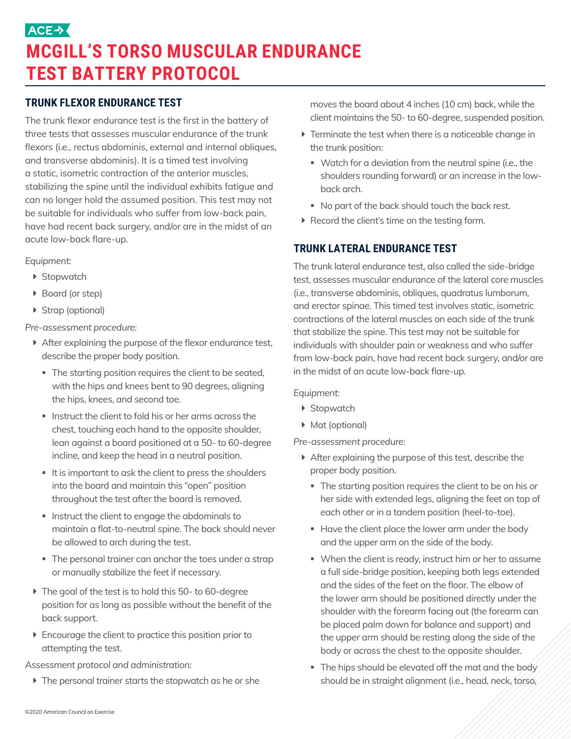# ACE-> **MCGILL'S TORSO MUSCULAR ENDURANCE TEST BATTERY PROTOCOL**

### **TRUNK FLEXOR ENDURANCE TEST**

The trunk flexor endurance test is the first in the battery of three tests that assesses muscular endurance of the trunk flexors (*i.e., rectus abdominis, external and internal obliques,* and transverse abdominis). It is a timed test involving a static, isometric contraction of the anterior muscles, stabilizing the spine until the individual exhibits fatigue and can no longer hold the assumed position. This test may not be suitable for individuals who suffer from low-back pain, have had recent back surgery, and/or are in the midst of an acute low-back flare-up.

*Equipment:* 

- ▶ Stopwatch
- ▶ Board (or step)
- ▶ Strap (optional)

*Pre-assessment procedure:* 

- $\blacktriangleright$  After explaining the purpose of the flexor endurance test, describe the proper body position.
	- § The starting position requires the client to be seated, with the hips and knees bent to 90 degrees, aligning the hips, knees, and second toe.
	- Instruct the client to fold his or her arms across the chest, touching each hand to the opposite shoulder, lean against a board positioned at a 50- to 60-degree incline, and keep the head in a neutral position.
	- It is important to ask the client to press the shoulders into the board and maintain this "open" position throughout the test after the board is removed.
	- Instruct the client to engage the abdominals to maintain a flat-to-neutral spine. The back should never be allowed to arch during the test.
	- **•** The personal trainer can anchor the toes under a strap or manually stabilize the feet if necessary.
- $\triangleright$  The goal of the test is to hold this 50- to 60-degree position for as long as possible without the benefit of the back support.
- $\blacktriangleright$  Encourage the client to practice this position prior to attempting the test.

*Assessment protocol and administration:* 

 $\blacktriangleright$  The personal trainer starts the stopwatch as he or she

moves the board about 4 inches (10 cm) back, while the client maintains the 50- to 60-degree, suspended position.

- $\triangleright$  Terminate the test when there is a noticeable change in the trunk position:
	- Watch for a deviation from the neutral spine (i.e., the shoulders rounding forward) or an increase in the lowback arch.
	- No part of the back should touch the back rest.
- $\blacktriangleright$  Record the client's time on the testing form.

### **TRUNK LATERAL ENDURANCE TEST**

The trunk lateral endurance test, also called the side-bridge test, assesses muscular endurance of the lateral core muscles (i.e., transverse abdominis, obliques, quadratus lumborum, and erector spinae. This timed test involves static, isometric contractions of the lateral muscles on each side of the trunk that stabilize the spine. This test may not be suitable for individuals with shoulder pain or weakness and who suffer from low-back pain, have had recent back surgery, and/or are in the midst of an acute low-back flare-up.

*Equipment:* 

- ▶ Stopwatch
- ▶ Mat (optional)

*Pre-assessment procedure:* 

- $\blacktriangleright$  After explaining the purpose of this test, describe the proper body position.
	- § The starting position requires the client to be on his or her side with extended legs, aligning the feet on top of each other or in a tandem position (heel-to-toe).
	- Have the client place the lower arm under the body and the upper arm on the side of the body.
	- When the client is ready, instruct him or her to assume a full side-bridge position, keeping both legs extended and the sides of the feet on the floor. The elbow of the lower arm should be positioned directly under the shoulder with the forearm facing out (the forearm can be placed palm down for balance and support) and the upper arm should be resting along the side of the body or across the chest to the opposite shoulder.
	- The hips should be elevated off the mat and the body should be in straight alignment (i.e., head, neck, torso,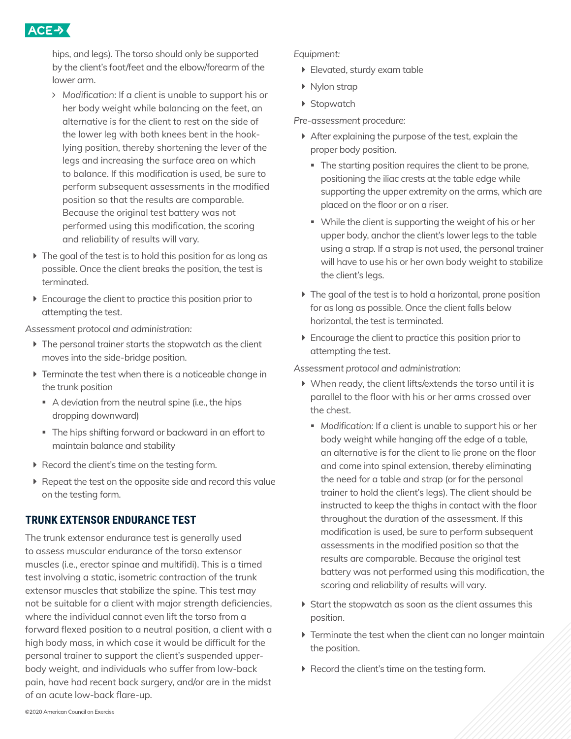

hips, and legs). The torso should only be supported by the client's foot/feet and the elbow/forearm of the lower arm.

- *Modification*: If a client is unable to support his or her body weight while balancing on the feet, an alternative is for the client to rest on the side of the lower leg with both knees bent in the hooklying position, thereby shortening the lever of the legs and increasing the surface area on which to balance. If this modification is used, be sure to perform subsequent assessments in the modified position so that the results are comparable. Because the original test battery was not performed using this modification, the scoring and reliability of results will vary.
- $\blacktriangleright$  The goal of the test is to hold this position for as long as possible. Once the client breaks the position, the test is terminated.
- $\blacktriangleright$  Encourage the client to practice this position prior to attempting the test.

*Assessment protocol and administration:* 

- $\blacktriangleright$  The personal trainer starts the stopwatch as the client moves into the side-bridge position.
- $\triangleright$  Terminate the test when there is a noticeable change in the trunk position
	- A deviation from the neutral spine (i.e., the hips dropping downward)
	- The hips shifting forward or backward in an effort to maintain balance and stability
- $\blacktriangleright$  Record the client's time on the testing form.
- $\blacktriangleright$  Repeat the test on the opposite side and record this value on the testing form.

# **TRUNK EXTENSOR ENDURANCE TEST**

The trunk extensor endurance test is generally used to assess muscular endurance of the torso extensor muscles (i.e., erector spinae and multifidi). This is a timed test involving a static, isometric contraction of the trunk extensor muscles that stabilize the spine. This test may not be suitable for a client with major strength deficiencies, where the individual cannot even lift the torso from a forward flexed position to a neutral position, a client with a high body mass, in which case it would be difficult for the personal trainer to support the client's suspended upperbody weight, and individuals who suffer from low-back pain, have had recent back surgery, and/or are in the midst of an acute low-back flare-up.

#### *Equipment:*

- **Elevated, sturdy exam table**
- ▶ Nylon strap
- ▶ Stopwatch

*Pre-assessment procedure:* 

- $\blacktriangleright$  After explaining the purpose of the test, explain the proper body position.
	- The starting position requires the client to be prone, positioning the iliac crests at the table edge while supporting the upper extremity on the arms, which are placed on the floor or on a riser.
	- While the client is supporting the weight of his or her upper body, anchor the client's lower legs to the table using a strap. If a strap is not used, the personal trainer will have to use his or her own body weight to stabilize the client's legs.
- $\triangleright$  The goal of the test is to hold a horizontal, prone position for as long as possible. Once the client falls below horizontal, the test is terminated.
- $\blacktriangleright$  Encourage the client to practice this position prior to attempting the test.

*Assessment protocol and administration:* 

- $\blacktriangleright$  When ready, the client lifts/extends the torso until it is parallel to the floor with his or her arms crossed over the chest.
	- *Modification:* If a client is unable to support his or her body weight while hanging off the edge of a table, an alternative is for the client to lie prone on the floor and come into spinal extension, thereby eliminating the need for a table and strap (or for the personal trainer to hold the client's legs). The client should be instructed to keep the thighs in contact with the floor throughout the duration of the assessment. If this modification is used, be sure to perform subsequent assessments in the modified position so that the results are comparable. Because the original test battery was not performed using this modification, the scoring and reliability of results will vary.
- $\triangleright$  Start the stopwatch as soon as the client assumes this position.
- $\triangleright$  Terminate the test when the client can no longer maintain the position.
- $\blacktriangleright$  Record the client's time on the testing form.